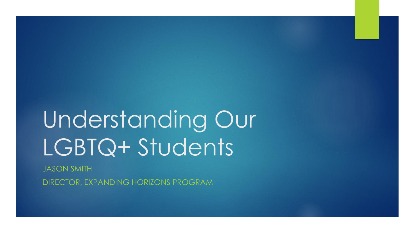# Understanding Our LGBTQ+ Students

JASON SMITH

DIRECTOR, EXPANDING HORIZONS PROGRAM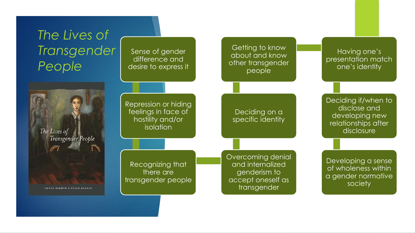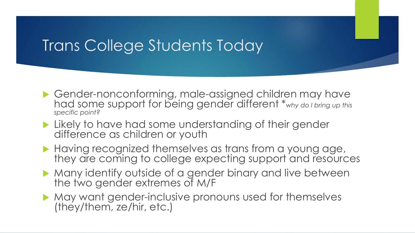### Trans College Students Today

- ▶ Gender-nonconforming, male-assigned children may have had some support for being gender different \**why do I bring up this specific point?*
- **Likely to have had some understanding of their gender** difference as children or youth
- Having recognized themselves as trans from a young age, they are coming to college expecting support and resources
- Many identify outside of a gender binary and live between the two gender extremes of M/F
- May want gender-inclusive pronouns used for themselves (they/them, ze/hir, etc.)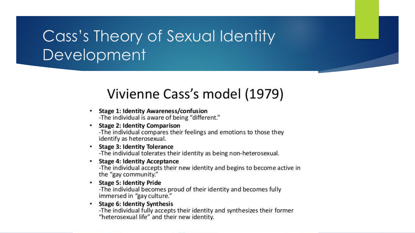# Cass's Theory of Sexual Identity Development

### Vivienne Cass's model (1979)

- **Stage 1: Identity Awareness/confusion** -The individual is aware of being "different."
- **Stage 2: Identity Comparison**

-The individual compares their feelings and emotions to those they identify as heterosexual.

**Stage 3: Identity Tolerance** 

-The individual tolerates their identity as being non-heterosexual.

• Stage 4: Identity Acceptance

-The individual accepts their new identity and begins to become active in the "gay community."

• Stage 5: Identity Pride

-The individual becomes proud of their identity and becomes fully immersed in "gay culture."

**Stage 6: Identity Synthesis** ٠

-The individual fully accepts their identity and synthesizes their former "heterosexual life" and their new identity.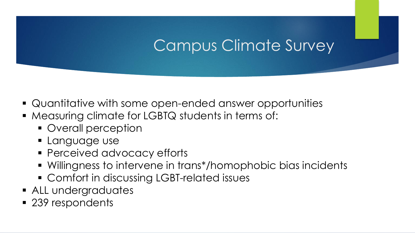# Campus Climate Survey

- Quantitative with some open-ended answer opportunities
- **Measuring climate for LGBTQ students in terms of:** 
	- **Overall perception**
	- **Language use**
	- **Perceived advocacy efforts**
	- Willingness to intervene in trans\*/homophobic bias incidents
	- Comfort in discussing LGBT-related issues
- **ALL undergraduates**
- 239 respondents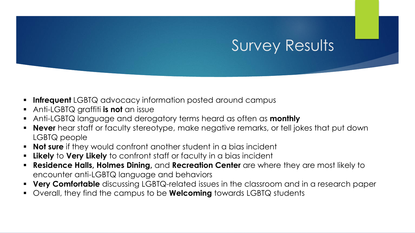### Survey Results

- **Infrequent** LGBTQ advocacy information posted around campus
- Anti-LGBTQ graffiti **is not** an issue
- Anti-LGBTQ language and derogatory terms heard as often as **monthly**
- **Never** hear staff or faculty stereotype, make negative remarks, or tell jokes that put down LGBTQ people
- **Not sure** if they would confront another student in a bias incident
- **Likely** to **Very Likely** to confront staff or faculty in a bias incident
- **Residence Halls, Holmes Dining,** and **Recreation Center** are where they are most likely to encounter anti-LGBTQ language and behaviors
- **Very Comfortable** discussing LGBTQ-related issues in the classroom and in a research paper
- Overall, they find the campus to be **Welcoming** towards LGBTQ students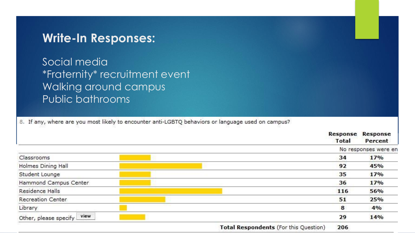#### **Write-In Responses:**

Social media \*Fraternity\* recruitment event Walking around campus Public bathrooms

8. If any, where are you most likely to encounter anti-LGBTQ behaviors or language used on campus?

|                            |                                       | Response<br><b>Total</b> | <b>Response</b><br>Percent |
|----------------------------|---------------------------------------|--------------------------|----------------------------|
|                            |                                       | No responses were en     |                            |
| Classrooms                 |                                       | 34                       | 17%                        |
| Holmes Dining Hall         |                                       | 92                       | 45%                        |
| Student Lounge             |                                       | 35                       | 17%                        |
| Hammond Campus Center      |                                       | 36                       | 17%                        |
| Residence Halls            |                                       | 116                      | 56%                        |
| Recreation Center          |                                       | 51                       | 25%                        |
| Library                    |                                       | 8                        | 4%                         |
| Other, please specify view |                                       | 29                       | 14%                        |
|                            | Total Respondents (For this Question) | 206                      |                            |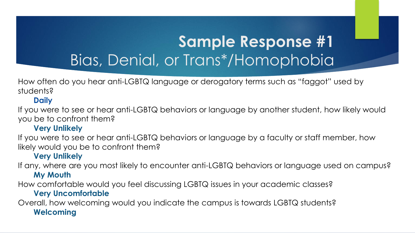# **Sample Response #1** Bias, Denial, or Trans\*/Homophobia

How often do you hear anti-LGBTQ language or derogatory terms such as "faggot" used by students?

#### **Daily**

If you were to see or hear anti-LGBTQ behaviors or language by another student, how likely would you be to confront them?

#### **Very Unlikely**

If you were to see or hear anti-LGBTQ behaviors or language by a faculty or staff member, how likely would you be to confront them?

#### **Very Unlikely**

If any, where are you most likely to encounter anti-LGBTQ behaviors or language used on campus? **My Mouth**

How comfortable would you feel discussing LGBTQ issues in your academic classes? **Very Uncomfortable**

Overall, how welcoming would you indicate the campus is towards LGBTQ students? **Welcoming**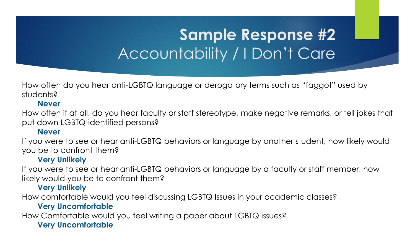# **Sample Response #2** Accountability / I Don't Care

How often do you hear anti-LGBTQ language or derogatory terms such as "faggot" used by students?

#### **Never**

How often if at all, do you hear faculty or staff stereotype, make negative remarks, or tell jokes that put down LGBTQ-identified persons?

#### **Never**

If you were to see or hear anti-LGBTQ behaviors or language by another student, how likely would you be to confront them?

#### **Very Unlikely**

If you were to see or hear anti-LGBTQ behaviors or language by a faculty or staff member, how likely would you be to confront them?

#### **Very Unlikely**

How comfortable would you feel discussing LGBTQ Issues in your academic classes?

#### **Very Uncomfortable**

How Comfortable would you feel writing a paper about LGBTQ issues?

#### **Very Uncomfortable**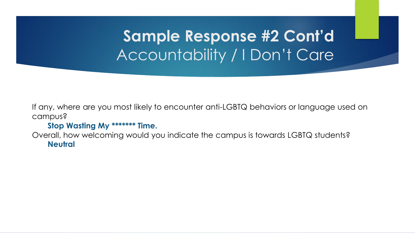# **Sample Response #2 Cont'd** Accountability / I Don't Care

If any, where are you most likely to encounter anti-LGBTQ behaviors or language used on campus?

#### **Stop Wasting My \*\*\*\*\*\*\* Time.**

Overall, how welcoming would you indicate the campus is towards LGBTQ students? **Neutral**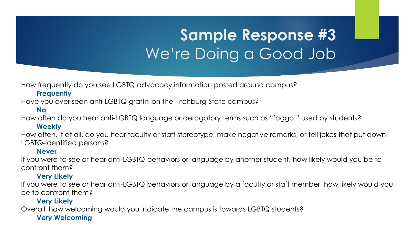# **Sample Response #3** We're Doing a Good Job

How frequently do you see LGBTQ advocacy information posted around campus?

#### **Frequently**

Have you ever seen anti-LGBTQ graffiti on the Fitchburg State campus?

#### **No**

How often do you hear anti-LGBTQ language or derogatory terms such as "faggot" used by students?

#### **Weekly**

How often, if at all, do you hear faculty or staff stereotype, make negative remarks, or tell jokes that put down LGBTQ-identified persons?

#### **Never**

If you were to see or hear anti-LGBTQ behaviors or language by another student, how likely would you be to confront them?

#### **Very Likely**

If you were to see or hear anti-LGBTQ behaviors or language by a faculty or staff member, how likely would you be to confront them?

#### **Very Likely**

Overall, how welcoming would you indicate the campus is towards LGBTQ students?

#### **Very Welcoming**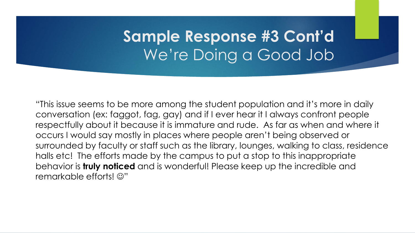# **Sample Response #3 Cont'd** We're Doing a Good Job

"This issue seems to be more among the student population and it's more in daily conversation (ex: faggot, fag, gay) and if I ever hear it I always confront people respectfully about it because it is immature and rude. As far as when and where it occurs I would say mostly in places where people aren't being observed or surrounded by faculty or staff such as the library, lounges, walking to class, residence halls etc! The efforts made by the campus to put a stop to this inappropriate behavior is **truly noticed** and is wonderful! Please keep up the incredible and remarkable efforts!  $\odot$ "